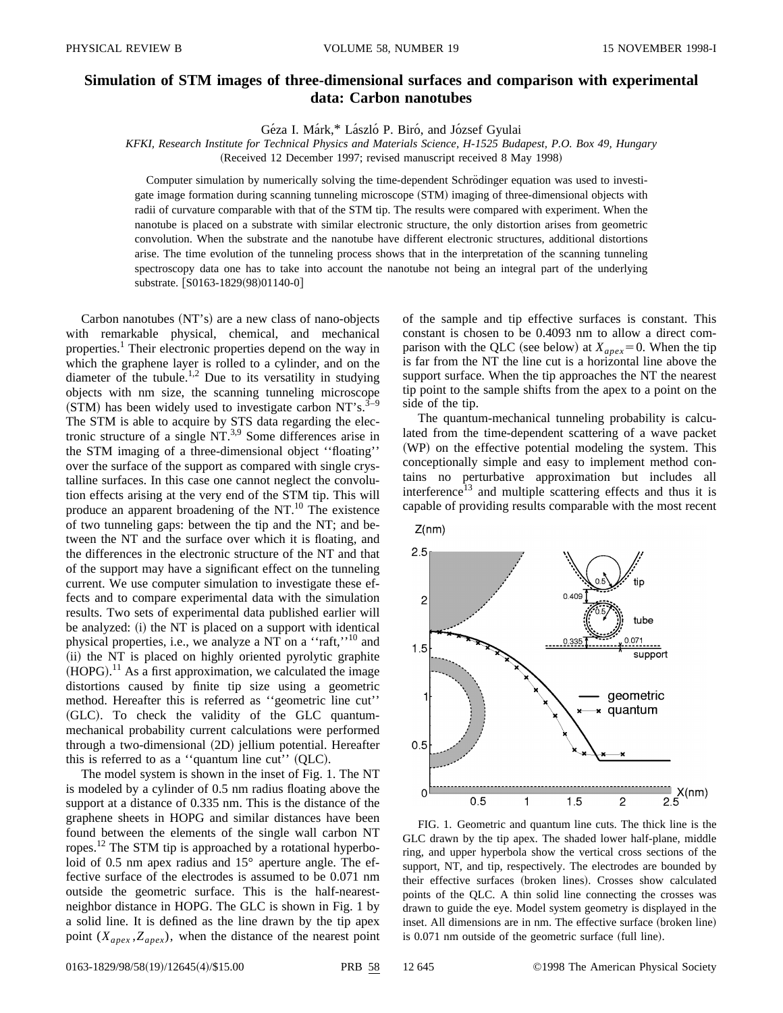## **Simulation of STM images of three-dimensional surfaces and comparison with experimental data: Carbon nanotubes**

Géza I. Márk,\* László P. Biró, and József Gyulai

*KFKI, Research Institute for Technical Physics and Materials Science, H-1525 Budapest, P.O. Box 49, Hungary*

(Received 12 December 1997; revised manuscript received 8 May 1998)

Computer simulation by numerically solving the time-dependent Schrödinger equation was used to investigate image formation during scanning tunneling microscope (STM) imaging of three-dimensional objects with radii of curvature comparable with that of the STM tip. The results were compared with experiment. When the nanotube is placed on a substrate with similar electronic structure, the only distortion arises from geometric convolution. When the substrate and the nanotube have different electronic structures, additional distortions arise. The time evolution of the tunneling process shows that in the interpretation of the scanning tunneling spectroscopy data one has to take into account the nanotube not being an integral part of the underlying substrate. [S0163-1829(98)01140-0]

Carbon nanotubes  $(NT's)$  are a new class of nano-objects with remarkable physical, chemical, and mechanical properties.<sup>1</sup> Their electronic properties depend on the way in which the graphene layer is rolled to a cylinder, and on the diameter of the tubule.<sup>1,2</sup> Due to its versatility in studying objects with nm size, the scanning tunneling microscope  $(STM)$  has been widely used to investigate carbon NT's.<sup>3</sup> The STM is able to acquire by STS data regarding the electronic structure of a single  $NT^{3,9}$  Some differences arise in the STM imaging of a three-dimensional object ''floating'' over the surface of the support as compared with single crystalline surfaces. In this case one cannot neglect the convolution effects arising at the very end of the STM tip. This will produce an apparent broadening of the  $NT<sup>10</sup>$ . The existence of two tunneling gaps: between the tip and the NT; and between the NT and the surface over which it is floating, and the differences in the electronic structure of the NT and that of the support may have a significant effect on the tunneling current. We use computer simulation to investigate these effects and to compare experimental data with the simulation results. Two sets of experimental data published earlier will be analyzed:  $(i)$  the NT is placed on a support with identical physical properties, i.e., we analyze a NT on a "raft,"<sup>10</sup> and (ii) the NT is placed on highly oriented pyrolytic graphite  $(HOPG).$ <sup>11</sup> As a first approximation, we calculated the image distortions caused by finite tip size using a geometric method. Hereafter this is referred as ''geometric line cut'' (GLC). To check the validity of the GLC quantummechanical probability current calculations were performed through a two-dimensional (2D) jellium potential. Hereafter this is referred to as a "quantum line cut"  $(QLC)$ .

The model system is shown in the inset of Fig. 1. The NT is modeled by a cylinder of 0.5 nm radius floating above the support at a distance of 0.335 nm. This is the distance of the graphene sheets in HOPG and similar distances have been found between the elements of the single wall carbon NT ropes.<sup>12</sup> The STM tip is approached by a rotational hyperboloid of 0.5 nm apex radius and 15° aperture angle. The effective surface of the electrodes is assumed to be 0.071 nm outside the geometric surface. This is the half-nearestneighbor distance in HOPG. The GLC is shown in Fig. 1 by a solid line. It is defined as the line drawn by the tip apex point  $(X_{apex}, Z_{apex})$ , when the distance of the nearest point of the sample and tip effective surfaces is constant. This constant is chosen to be 0.4093 nm to allow a direct comparison with the QLC (see below) at  $X_{apex} = 0$ . When the tip is far from the NT the line cut is a horizontal line above the support surface. When the tip approaches the NT the nearest tip point to the sample shifts from the apex to a point on the side of the tip.

The quantum-mechanical tunneling probability is calculated from the time-dependent scattering of a wave packet (WP) on the effective potential modeling the system. This conceptionally simple and easy to implement method contains no perturbative approximation but includes all interference<sup>13</sup> and multiple scattering effects and thus it is capable of providing results comparable with the most recent





FIG. 1. Geometric and quantum line cuts. The thick line is the GLC drawn by the tip apex. The shaded lower half-plane, middle ring, and upper hyperbola show the vertical cross sections of the support, NT, and tip, respectively. The electrodes are bounded by their effective surfaces (broken lines). Crosses show calculated points of the QLC. A thin solid line connecting the crosses was drawn to guide the eye. Model system geometry is displayed in the inset. All dimensions are in nm. The effective surface (broken line) is  $0.071$  nm outside of the geometric surface (full line).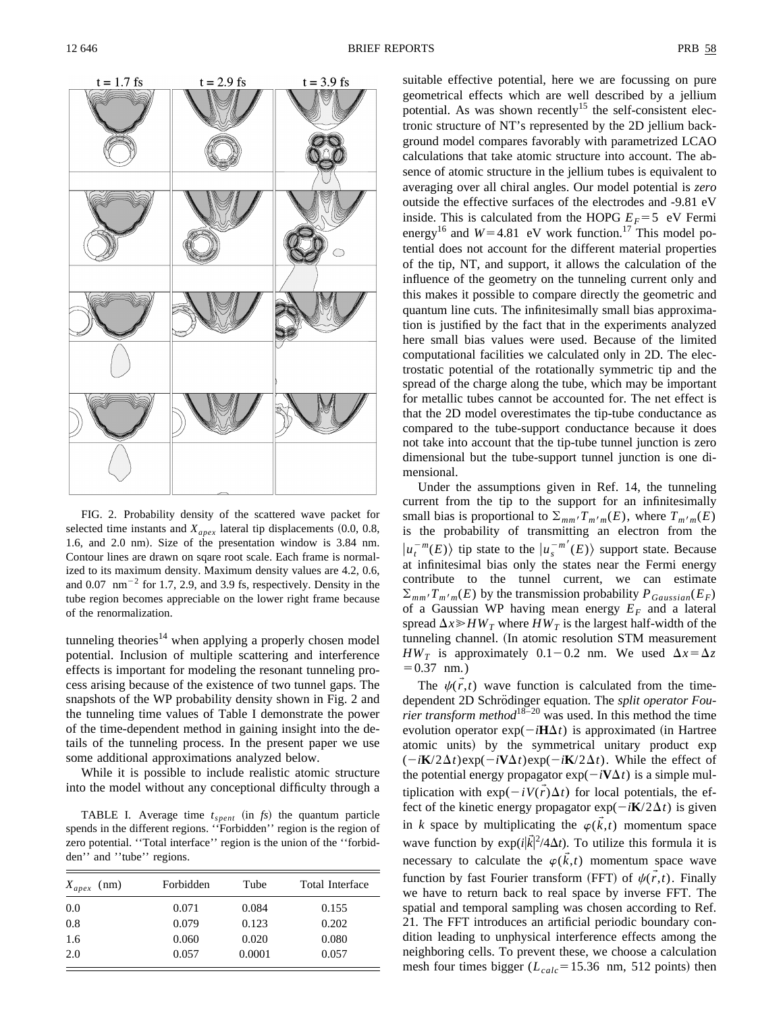

FIG. 2. Probability density of the scattered wave packet for selected time instants and  $X_{apex}$  lateral tip displacements  $(0.0, 0.8,$ 1.6, and 2.0 nm). Size of the presentation window is 3.84 nm. Contour lines are drawn on sqare root scale. Each frame is normalized to its maximum density. Maximum density values are 4.2, 0.6, and  $0.07 \, \text{nm}^{-2}$  for 1.7, 2.9, and 3.9 fs, respectively. Density in the tube region becomes appreciable on the lower right frame because of the renormalization.

tunneling theories $14$  when applying a properly chosen model potential. Inclusion of multiple scattering and interference effects is important for modeling the resonant tunneling process arising because of the existence of two tunnel gaps. The snapshots of the WP probability density shown in Fig. 2 and the tunneling time values of Table I demonstrate the power of the time-dependent method in gaining insight into the details of the tunneling process. In the present paper we use some additional approximations analyzed below.

While it is possible to include realistic atomic structure into the model without any conceptional difficulty through a

TABLE I. Average time  $t_{spent}$  (in  $fs$ ) the quantum particle spends in the different regions. ''Forbidden'' region is the region of zero potential. ''Total interface'' region is the union of the ''forbidden'' and ''tube'' regions.

| $X_{apex}$ (nm) | Forbidden | Tube   | Total Interface |
|-----------------|-----------|--------|-----------------|
| 0.0             | 0.071     | 0.084  | 0.155           |
| 0.8             | 0.079     | 0.123  | 0.202           |
| 1.6             | 0.060     | 0.020  | 0.080           |
| 2.0             | 0.057     | 0.0001 | 0.057           |

suitable effective potential, here we are focussing on pure geometrical effects which are well described by a jellium potential. As was shown recently<sup>15</sup> the self-consistent electronic structure of NT's represented by the 2D jellium background model compares favorably with parametrized LCAO calculations that take atomic structure into account. The absence of atomic structure in the jellium tubes is equivalent to averaging over all chiral angles. Our model potential is *zero* outside the effective surfaces of the electrodes and -9.81 eV inside. This is calculated from the HOPG  $E_F = 5$  eV Fermi energy<sup>16</sup> and  $W=4.81$  eV work function.<sup>17</sup> This model potential does not account for the different material properties of the tip, NT, and support, it allows the calculation of the influence of the geometry on the tunneling current only and this makes it possible to compare directly the geometric and quantum line cuts. The infinitesimally small bias approximation is justified by the fact that in the experiments analyzed here small bias values were used. Because of the limited computational facilities we calculated only in 2D. The electrostatic potential of the rotationally symmetric tip and the spread of the charge along the tube, which may be important for metallic tubes cannot be accounted for. The net effect is that the 2D model overestimates the tip-tube conductance as compared to the tube-support conductance because it does not take into account that the tip-tube tunnel junction is zero dimensional but the tube-support tunnel junction is one dimensional.

Under the assumptions given in Ref. 14, the tunneling current from the tip to the support for an infinitesimally small bias is proportional to  $\Sigma_{mm'}T_{m'm}(E)$ , where  $T_{m'm}(E)$ is the probability of transmitting an electron from the  $|u_t^{-m}(E)\rangle$  tip state to the  $|u_s^{-m'}(E)\rangle$  support state. Because at infinitesimal bias only the states near the Fermi energy contribute to the tunnel current, we can estimate  $\Sigma_{mm'}T_{m'm}(E)$  by the transmission probability  $P_{Gaussian}(E_F)$ of a Gaussian WP having mean energy  $E_F$  and a lateral spread  $\Delta x \geq H W_T$  where  $H W_T$  is the largest half-width of the tunneling channel. (In atomic resolution STM measurement *HW<sub>T</sub>* is approximately 0.1-0.2 nm. We used  $\Delta x = \Delta z$  $= 0.37$  nm.)

The  $\psi(\vec{r},t)$  wave function is calculated from the timedependent 2D Schrödinger equation. The *split operator Fourier transform method*18–20 was used. In this method the time evolution operator  $exp(-i\mathbf{H}\Delta t)$  is approximated (in Hartree atomic units) by the symmetrical unitary product exp  $(-i\mathbf{K}/2\Delta t)$ exp $(-i\mathbf{V}\Delta t)$ exp $(-i\mathbf{K}/2\Delta t)$ . While the effect of the potential energy propagator  $exp(-i\mathbf{V}\Delta t)$  is a simple multiplication with  $exp(-iV(\vec{r})\Delta t)$  for local potentials, the effect of the kinetic energy propagator  $exp(-i\mathbf{K}/2\Delta t)$  is given in *k* space by multiplicating the  $\varphi(\vec{k},t)$  momentum space wave function by  $exp\left(i|\vec{k}|^2/4\Delta t\right)$ . To utilize this formula it is necessary to calculate the  $\varphi(\vec{k},t)$  momentum space wave function by fast Fourier transform (FFT) of  $\psi(\vec{r},t)$ . Finally we have to return back to real space by inverse FFT. The spatial and temporal sampling was chosen according to Ref. 21. The FFT introduces an artificial periodic boundary condition leading to unphysical interference effects among the neighboring cells. To prevent these, we choose a calculation mesh four times bigger  $(L_{calc} = 15.36 \text{ nm}, 512 \text{ points})$  then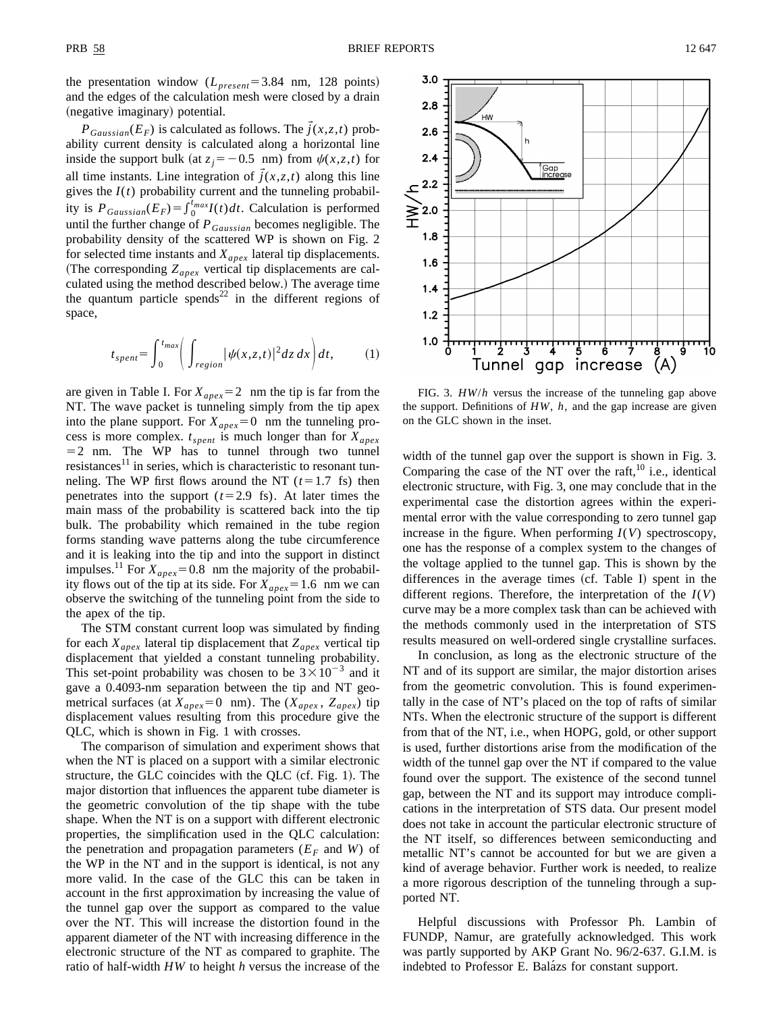3.0  $2.8$ 

 $2.6$ 

 $2.4$ 

 $2.2$ 

 $1.6$ 

 $1.4$  $1.2$ 

 $1.0$ 

≧2.0<br>±  $1.8$ 

 $P_{Gaussian}(E_F)$  is calculated as follows. The  $\vec{j}(x, z, t)$  probability current density is calculated along a horizontal line inside the support bulk (at  $z_i = -0.5$  nm) from  $\psi(x, z, t)$  for all time instants. Line integration of  $\vec{j}(x, z, t)$  along this line gives the  $I(t)$  probability current and the tunneling probability is  $P_{Gaussian}(E_F) = \int_0^{t_{max}} I(t) dt$ . Calculation is performed until the further change of *PGaussian* becomes negligible. The probability density of the scattered WP is shown on Fig. 2 for selected time instants and  $X_{apex}$  lateral tip displacements. (The corresponding  $Z_{apex}$  vertical tip displacements are calculated using the method described below.) The average time the quantum particle spends<sup>22</sup> in the different regions of space,

$$
t_{spent} = \int_0^{t_{max}} \left( \int_{region} |\psi(x, z, t)|^2 dz dx \right) dt,
$$
 (1)

are given in Table I. For  $X_{apex} = 2$  nm the tip is far from the NT. The wave packet is tunneling simply from the tip apex into the plane support. For  $X_{apex} = 0$  nm the tunneling process is more complex.  $t_{spent}$  is much longer than for  $X_{apex}$  $=$  2 nm. The WP has to tunnel through two tunnel  $resistances<sup>11</sup>$  in series, which is characteristic to resonant tunneling. The WP first flows around the NT  $(t=1.7 \text{ fs})$  then penetrates into the support  $(t=2.9 \text{ fs})$ . At later times the main mass of the probability is scattered back into the tip bulk. The probability which remained in the tube region forms standing wave patterns along the tube circumference and it is leaking into the tip and into the support in distinct impulses.<sup>11</sup> For  $X_{apex}$ =0.8 nm the majority of the probability flows out of the tip at its side. For  $X_{apex} = 1.6$  nm we can observe the switching of the tunneling point from the side to the apex of the tip.

The STM constant current loop was simulated by finding for each  $X_{apex}$  lateral tip displacement that  $Z_{apex}$  vertical tip displacement that yielded a constant tunneling probability. This set-point probability was chosen to be  $3 \times 10^{-3}$  and it gave a 0.4093-nm separation between the tip and NT geometrical surfaces (at  $X_{apex} = 0$  nm). The ( $X_{apex}$ ,  $Z_{apex}$ ) tip displacement values resulting from this procedure give the QLC, which is shown in Fig. 1 with crosses.

The comparison of simulation and experiment shows that when the NT is placed on a support with a similar electronic structure, the GLC coincides with the QLC  $(cf. Fig. 1)$ . The major distortion that influences the apparent tube diameter is the geometric convolution of the tip shape with the tube shape. When the NT is on a support with different electronic properties, the simplification used in the QLC calculation: the penetration and propagation parameters  $(E_F \text{ and } W)$  of the WP in the NT and in the support is identical, is not any more valid. In the case of the GLC this can be taken in account in the first approximation by increasing the value of the tunnel gap over the support as compared to the value over the NT. This will increase the distortion found in the apparent diameter of the NT with increasing difference in the electronic structure of the NT as compared to graphite. The ratio of half-width *HW* to height *h* versus the increase of the



FIG. 3. *HW*/*h* versus the increase of the tunneling gap above the support. Definitions of *HW*, *h*, and the gap increase are given on the GLC shown in the inset.

Tunnel gap increase

width of the tunnel gap over the support is shown in Fig. 3. Comparing the case of the NT over the raft, $^{10}$  i.e., identical electronic structure, with Fig. 3, one may conclude that in the experimental case the distortion agrees within the experimental error with the value corresponding to zero tunnel gap increase in the figure. When performing  $I(V)$  spectroscopy, one has the response of a complex system to the changes of the voltage applied to the tunnel gap. This is shown by the differences in the average times  $(cf.$  Table I) spent in the different regions. Therefore, the interpretation of the *I*(*V*) curve may be a more complex task than can be achieved with the methods commonly used in the interpretation of STS results measured on well-ordered single crystalline surfaces.

In conclusion, as long as the electronic structure of the NT and of its support are similar, the major distortion arises from the geometric convolution. This is found experimentally in the case of NT's placed on the top of rafts of similar NTs. When the electronic structure of the support is different from that of the NT, i.e., when HOPG, gold, or other support is used, further distortions arise from the modification of the width of the tunnel gap over the NT if compared to the value found over the support. The existence of the second tunnel gap, between the NT and its support may introduce complications in the interpretation of STS data. Our present model does not take in account the particular electronic structure of the NT itself, so differences between semiconducting and metallic NT's cannot be accounted for but we are given a kind of average behavior. Further work is needed, to realize a more rigorous description of the tunneling through a supported NT.

Helpful discussions with Professor Ph. Lambin of FUNDP, Namur, are gratefully acknowledged. This work was partly supported by AKP Grant No. 96/2-637. G.I.M. is indebted to Professor E. Balázs for constant support.